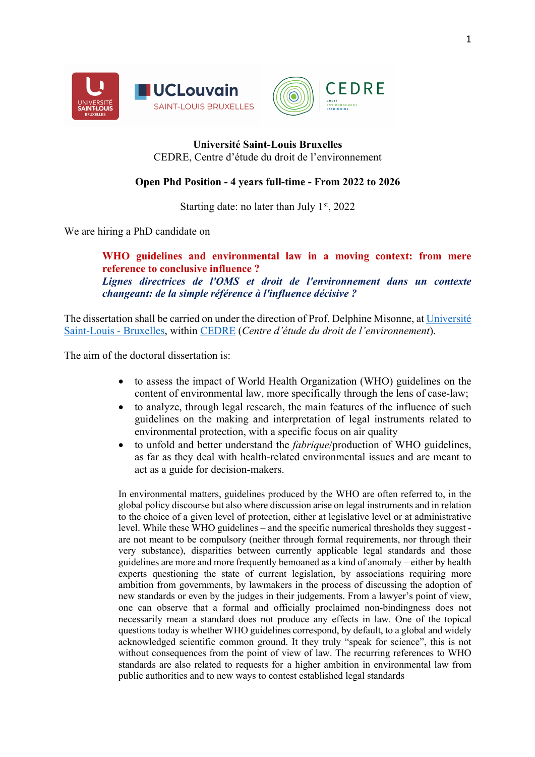



## **Université Saint-Louis Bruxelles** CEDRE, Centre d'étude du droit de l'environnement

## **Open Phd Position - 4 years full-time - From 2022 to 2026**

Starting date: no later than July  $1<sup>st</sup>$ , 2022

We are hiring a PhD candidate on

**WHO guidelines and environmental law in a moving context: from mere reference to conclusive influence ?** *Lignes directrices de l'OMS et droit de l'environnement dans un contexte changeant: de la simple référence à l'influence décisive ?*

The dissertation shall be carried on under the direction of Prof. Delphine Misonne, at Université Saint-Louis - Bruxelles, within CEDRE (*Centre d'étude du droit de l'environnement*).

The aim of the doctoral dissertation is:

- to assess the impact of World Health Organization (WHO) guidelines on the content of environmental law, more specifically through the lens of case-law;
- to analyze, through legal research, the main features of the influence of such guidelines on the making and interpretation of legal instruments related to environmental protection, with a specific focus on air quality
- to unfold and better understand the *fabrique*/production of WHO guidelines, as far as they deal with health-related environmental issues and are meant to act as a guide for decision-makers.

In environmental matters, guidelines produced by the WHO are often referred to, in the global policy discourse but also where discussion arise on legal instruments and in relation to the choice of a given level of protection, either at legislative level or at administrative level. While these WHO guidelines – and the specific numerical thresholds they suggest are not meant to be compulsory (neither through formal requirements, nor through their very substance), disparities between currently applicable legal standards and those guidelines are more and more frequently bemoaned as a kind of anomaly – either by health experts questioning the state of current legislation, by associations requiring more ambition from governments, by lawmakers in the process of discussing the adoption of new standards or even by the judges in their judgements. From a lawyer's point of view, one can observe that a formal and officially proclaimed non-bindingness does not necessarily mean a standard does not produce any effects in law. One of the topical questions today is whether WHO guidelines correspond, by default, to a global and widely acknowledged scientific common ground. It they truly "speak for science", this is not without consequences from the point of view of law. The recurring references to WHO standards are also related to requests for a higher ambition in environmental law from public authorities and to new ways to contest established legal standards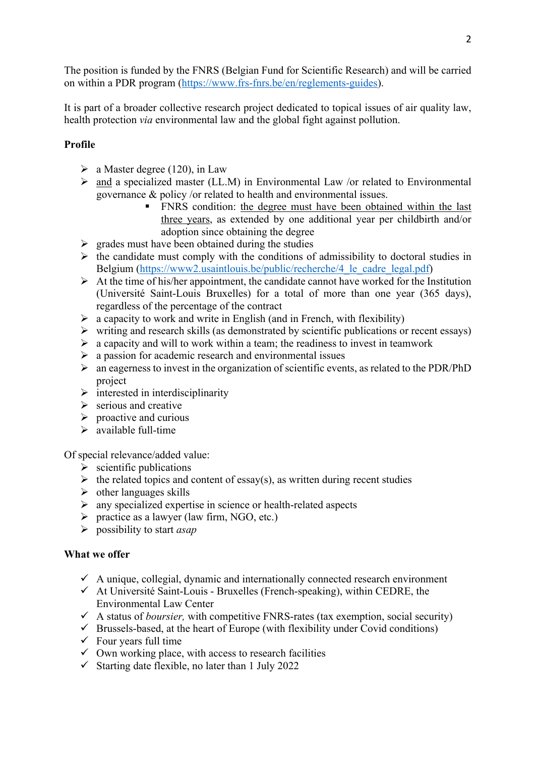The position is funded by the FNRS (Belgian Fund for Scientific Research) and will be carried on within a PDR program (https://www.frs-fnrs.be/en/reglements-guides).

It is part of a broader collective research project dedicated to topical issues of air quality law, health protection *via* environmental law and the global fight against pollution.

# **Profile**

- $\triangleright$  a Master degree (120), in Law
- $\triangleright$  and a specialized master (LL.M) in Environmental Law /or related to Environmental governance & policy /or related to health and environmental issues.
	- " FNRS condition: the degree must have been obtained within the last three years, as extended by one additional year per childbirth and/or adoption since obtaining the degree
- $\triangleright$  grades must have been obtained during the studies
- $\triangleright$  the candidate must comply with the conditions of admissibility to doctoral studies in Belgium (https://www2.usaintlouis.be/public/recherche/4 le cadre legal.pdf)
- $\triangleright$  At the time of his/her appointment, the candidate cannot have worked for the Institution (Université Saint-Louis Bruxelles) for a total of more than one year (365 days), regardless of the percentage of the contract
- $\triangleright$  a capacity to work and write in English (and in French, with flexibility)
- $\triangleright$  writing and research skills (as demonstrated by scientific publications or recent essays)
- $\triangleright$  a capacity and will to work within a team; the readiness to invest in teamwork
- $\triangleright$  a passion for academic research and environmental issues
- $\triangleright$  an eagerness to invest in the organization of scientific events, as related to the PDR/PhD project
- $\triangleright$  interested in interdisciplinarity
- $\triangleright$  serious and creative
- $\triangleright$  proactive and curious
- $\triangleright$  available full-time

Of special relevance/added value:

- $\triangleright$  scientific publications
- $\triangleright$  the related topics and content of essay(s), as written during recent studies
- $\triangleright$  other languages skills
- $\triangleright$  any specialized expertise in science or health-related aspects
- $\triangleright$  practice as a lawyer (law firm, NGO, etc.)
- ! possibility to start *asap*

#### **What we offer**

- $\checkmark$  A unique, collegial, dynamic and internationally connected research environment
- $\checkmark$  At Université Saint-Louis Bruxelles (French-speaking), within CEDRE, the Environmental Law Center
- $\checkmark$  A status of *boursier*, with competitive FNRS-rates (tax exemption, social security)
- $\checkmark$  Brussels-based, at the heart of Europe (with flexibility under Covid conditions)
- $\checkmark$  Four years full time
- $\checkmark$  Own working place, with access to research facilities
- $\checkmark$  Starting date flexible, no later than 1 July 2022